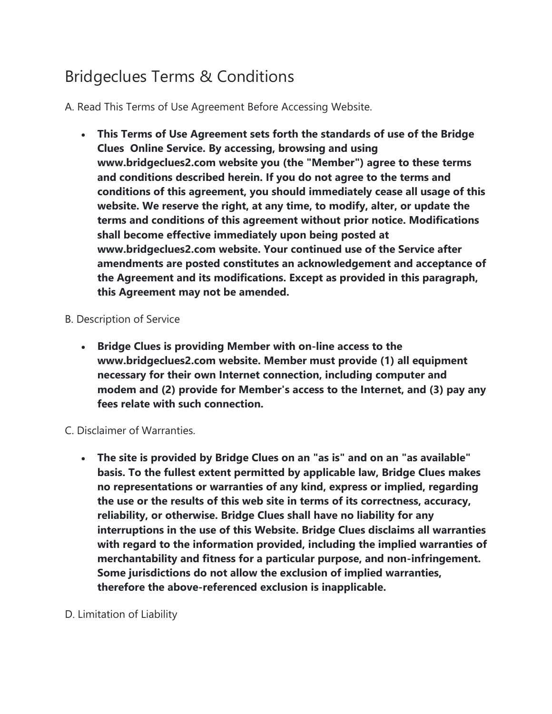# Bridgeclues Terms & Conditions

A. Read This Terms of Use Agreement Before Accessing Website.

- **This Terms of Use Agreement sets forth the standards of use of the Bridge Clues Online Service. By accessing, browsing and using www.bridgeclues2.com website you (the "Member") agree to these terms and conditions described herein. If you do not agree to the terms and conditions of this agreement, you should immediately cease all usage of this website. We reserve the right, at any time, to modify, alter, or update the terms and conditions of this agreement without prior notice. Modifications shall become effective immediately upon being posted at www.bridgeclues2.com website. Your continued use of the Service after amendments are posted constitutes an acknowledgement and acceptance of the Agreement and its modifications. Except as provided in this paragraph, this Agreement may not be amended.**
- B. Description of Service
	- **Bridge Clues is providing Member with on-line access to the www.bridgeclues2.com website. Member must provide (1) all equipment necessary for their own Internet connection, including computer and modem and (2) provide for Member's access to the Internet, and (3) pay any fees relate with such connection.**

#### C. Disclaimer of Warranties.

- **The site is provided by Bridge Clues on an "as is" and on an "as available" basis. To the fullest extent permitted by applicable law, Bridge Clues makes no representations or warranties of any kind, express or implied, regarding the use or the results of this web site in terms of its correctness, accuracy, reliability, or otherwise. Bridge Clues shall have no liability for any interruptions in the use of this Website. Bridge Clues disclaims all warranties with regard to the information provided, including the implied warranties of merchantability and fitness for a particular purpose, and non-infringement. Some jurisdictions do not allow the exclusion of implied warranties, therefore the above-referenced exclusion is inapplicable.**
- D. Limitation of Liability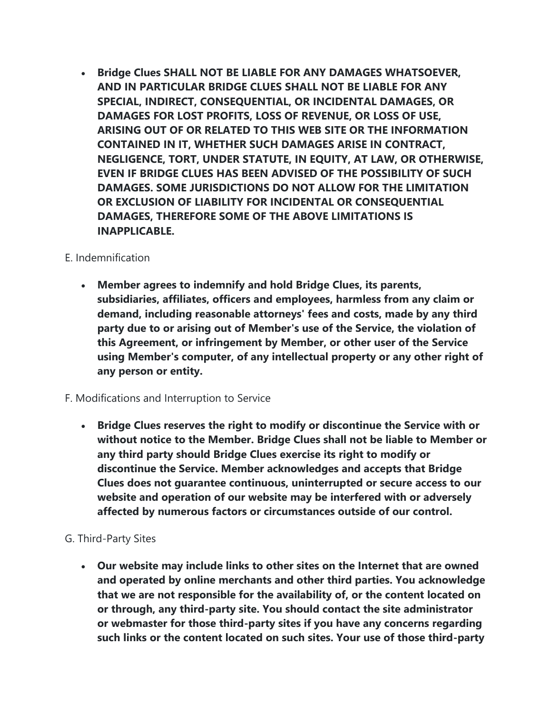**Bridge Clues SHALL NOT BE LIABLE FOR ANY DAMAGES WHATSOEVER, AND IN PARTICULAR BRIDGE CLUES SHALL NOT BE LIABLE FOR ANY SPECIAL, INDIRECT, CONSEQUENTIAL, OR INCIDENTAL DAMAGES, OR DAMAGES FOR LOST PROFITS, LOSS OF REVENUE, OR LOSS OF USE, ARISING OUT OF OR RELATED TO THIS WEB SITE OR THE INFORMATION CONTAINED IN IT, WHETHER SUCH DAMAGES ARISE IN CONTRACT, NEGLIGENCE, TORT, UNDER STATUTE, IN EQUITY, AT LAW, OR OTHERWISE, EVEN IF BRIDGE CLUES HAS BEEN ADVISED OF THE POSSIBILITY OF SUCH DAMAGES. SOME JURISDICTIONS DO NOT ALLOW FOR THE LIMITATION OR EXCLUSION OF LIABILITY FOR INCIDENTAL OR CONSEQUENTIAL DAMAGES, THEREFORE SOME OF THE ABOVE LIMITATIONS IS INAPPLICABLE.**

# E. Indemnification

 **Member agrees to indemnify and hold Bridge Clues, its parents, subsidiaries, affiliates, officers and employees, harmless from any claim or demand, including reasonable attorneys' fees and costs, made by any third party due to or arising out of Member's use of the Service, the violation of this Agreement, or infringement by Member, or other user of the Service using Member's computer, of any intellectual property or any other right of any person or entity.**

#### F. Modifications and Interruption to Service

 **Bridge Clues reserves the right to modify or discontinue the Service with or without notice to the Member. Bridge Clues shall not be liable to Member or any third party should Bridge Clues exercise its right to modify or discontinue the Service. Member acknowledges and accepts that Bridge Clues does not guarantee continuous, uninterrupted or secure access to our website and operation of our website may be interfered with or adversely affected by numerous factors or circumstances outside of our control.**

# G. Third-Party Sites

 **Our website may include links to other sites on the Internet that are owned and operated by online merchants and other third parties. You acknowledge that we are not responsible for the availability of, or the content located on or through, any third-party site. You should contact the site administrator or webmaster for those third-party sites if you have any concerns regarding such links or the content located on such sites. Your use of those third-party**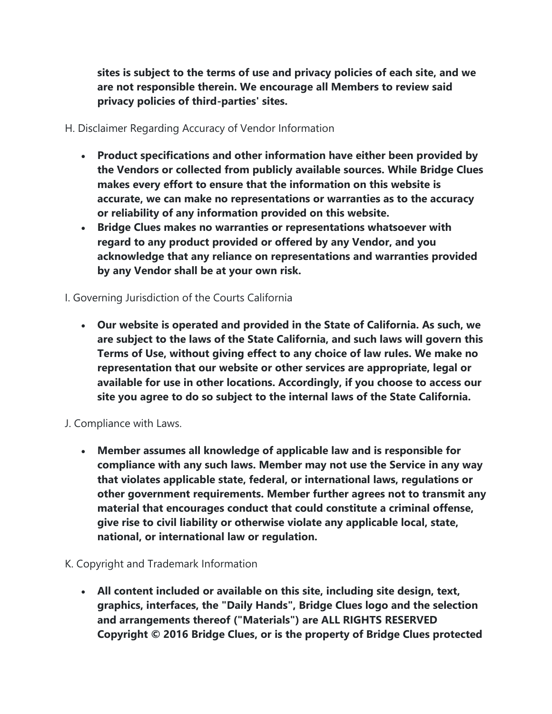**sites is subject to the terms of use and privacy policies of each site, and we are not responsible therein. We encourage all Members to review said privacy policies of third-parties' sites.**

H. Disclaimer Regarding Accuracy of Vendor Information

- **Product specifications and other information have either been provided by the Vendors or collected from publicly available sources. While Bridge Clues makes every effort to ensure that the information on this website is accurate, we can make no representations or warranties as to the accuracy or reliability of any information provided on this website.**
- **Bridge Clues makes no warranties or representations whatsoever with regard to any product provided or offered by any Vendor, and you acknowledge that any reliance on representations and warranties provided by any Vendor shall be at your own risk.**

# I. Governing Jurisdiction of the Courts California

 **Our website is operated and provided in the State of California. As such, we are subject to the laws of the State California, and such laws will govern this Terms of Use, without giving effect to any choice of law rules. We make no representation that our website or other services are appropriate, legal or available for use in other locations. Accordingly, if you choose to access our site you agree to do so subject to the internal laws of the State California.**

# J. Compliance with Laws.

 **Member assumes all knowledge of applicable law and is responsible for compliance with any such laws. Member may not use the Service in any way that violates applicable state, federal, or international laws, regulations or other government requirements. Member further agrees not to transmit any material that encourages conduct that could constitute a criminal offense, give rise to civil liability or otherwise violate any applicable local, state, national, or international law or regulation.**

# K. Copyright and Trademark Information

 **All content included or available on this site, including site design, text, graphics, interfaces, the "Daily Hands", Bridge Clues logo and the selection and arrangements thereof ("Materials") are ALL RIGHTS RESERVED Copyright © 2016 Bridge Clues, or is the property of Bridge Clues protected**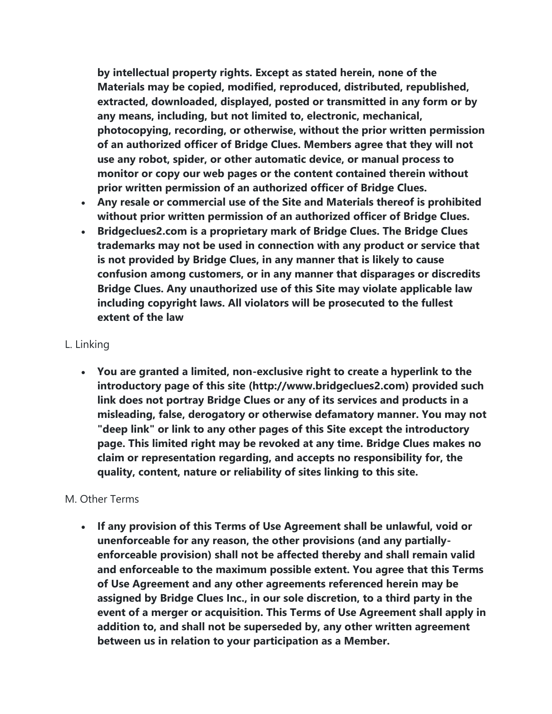**by intellectual property rights. Except as stated herein, none of the Materials may be copied, modified, reproduced, distributed, republished, extracted, downloaded, displayed, posted or transmitted in any form or by any means, including, but not limited to, electronic, mechanical, photocopying, recording, or otherwise, without the prior written permission of an authorized officer of Bridge Clues. Members agree that they will not use any robot, spider, or other automatic device, or manual process to monitor or copy our web pages or the content contained therein without prior written permission of an authorized officer of Bridge Clues.**

- **Any resale or commercial use of the Site and Materials thereof is prohibited without prior written permission of an authorized officer of Bridge Clues.**
- **Bridgeclues2.com is a proprietary mark of Bridge Clues. The Bridge Clues trademarks may not be used in connection with any product or service that is not provided by Bridge Clues, in any manner that is likely to cause confusion among customers, or in any manner that disparages or discredits Bridge Clues. Any unauthorized use of this Site may violate applicable law including copyright laws. All violators will be prosecuted to the fullest extent of the law**

#### L. Linking

 **You are granted a limited, non-exclusive right to create a hyperlink to the introductory page of this site (http://www.bridgeclues2.com) provided such link does not portray Bridge Clues or any of its services and products in a misleading, false, derogatory or otherwise defamatory manner. You may not "deep link" or link to any other pages of this Site except the introductory page. This limited right may be revoked at any time. Bridge Clues makes no claim or representation regarding, and accepts no responsibility for, the quality, content, nature or reliability of sites linking to this site.**

#### M. Other Terms

 **If any provision of this Terms of Use Agreement shall be unlawful, void or unenforceable for any reason, the other provisions (and any partiallyenforceable provision) shall not be affected thereby and shall remain valid and enforceable to the maximum possible extent. You agree that this Terms of Use Agreement and any other agreements referenced herein may be assigned by Bridge Clues Inc., in our sole discretion, to a third party in the event of a merger or acquisition. This Terms of Use Agreement shall apply in addition to, and shall not be superseded by, any other written agreement between us in relation to your participation as a Member.**